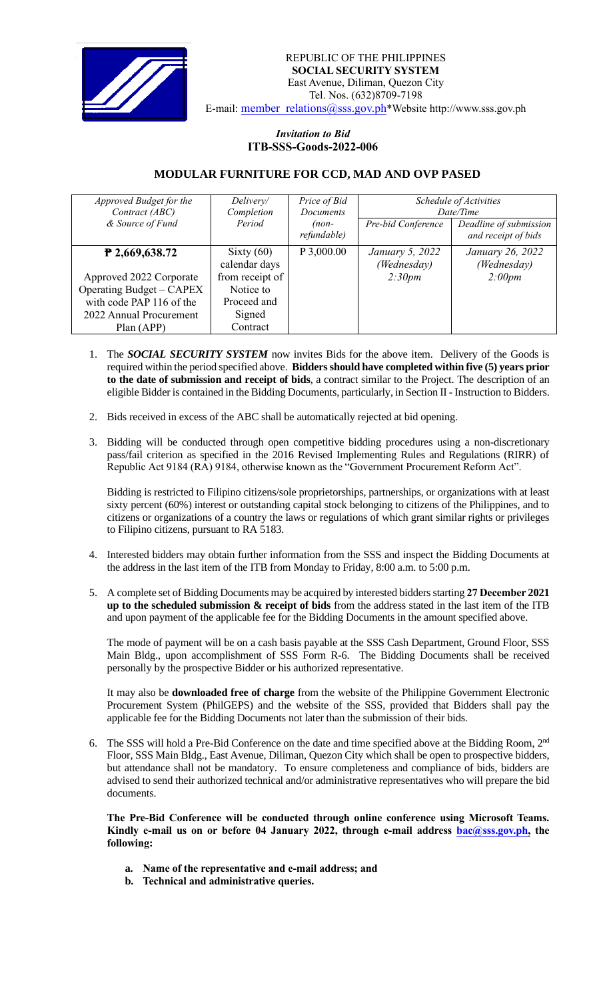

## *Invitation to Bid*  **ITB-SSS-Goods-2022-006**

## **MODULAR FURNITURE FOR CCD, MAD AND OVP PASED**

| Approved Budget for the<br>Contract (ABC)<br>& Source of Fund | Delivery/<br>Completion<br>Period | Price of Bid<br><b>Documents</b><br>$(non-$<br>refundable) | Pre-bid Conference | Schedule of Activities<br>Date/Time<br>Deadline of submission<br>and receipt of bids |
|---------------------------------------------------------------|-----------------------------------|------------------------------------------------------------|--------------------|--------------------------------------------------------------------------------------|
| $P$ 2,669,638.72                                              | Sixty $(60)$                      | P 3,000.00                                                 | January 5, 2022    | January 26, 2022                                                                     |
|                                                               | calendar days                     |                                                            | (Wednesday)        | (Wednesday)                                                                          |
| Approved 2022 Corporate                                       | from receipt of                   |                                                            | 2:30pm             | 2:00pm                                                                               |
| Operating Budget – CAPEX                                      | Notice to                         |                                                            |                    |                                                                                      |
| with code PAP 116 of the                                      | Proceed and                       |                                                            |                    |                                                                                      |
| 2022 Annual Procurement                                       | Signed                            |                                                            |                    |                                                                                      |
| Plan (APP)                                                    | Contract                          |                                                            |                    |                                                                                      |

- 1. The *SOCIAL SECURITY SYSTEM* now invites Bids for the above item. Delivery of the Goods is required within the period specified above. **Bidders should have completed within five (5) years prior to the date of submission and receipt of bids**, a contract similar to the Project. The description of an eligible Bidder is contained in the Bidding Documents, particularly, in Section II - Instruction to Bidders.
- 2. Bids received in excess of the ABC shall be automatically rejected at bid opening.
- 3. Bidding will be conducted through open competitive bidding procedures using a non-discretionary pass/fail criterion as specified in the 2016 Revised Implementing Rules and Regulations (RIRR) of Republic Act 9184 (RA) 9184, otherwise known as the "Government Procurement Reform Act".

Bidding is restricted to Filipino citizens/sole proprietorships, partnerships, or organizations with at least sixty percent (60%) interest or outstanding capital stock belonging to citizens of the Philippines, and to citizens or organizations of a country the laws or regulations of which grant similar rights or privileges to Filipino citizens, pursuant to RA 5183.

- 4. Interested bidders may obtain further information from the SSS and inspect the Bidding Documents at the address in the last item of the ITB from Monday to Friday, 8:00 a.m. to 5:00 p.m.
- 5. A complete set of Bidding Documents may be acquired by interested bidders starting **27 December 2021 up to the scheduled submission & receipt of bids** from the address stated in the last item of the ITB and upon payment of the applicable fee for the Bidding Documents in the amount specified above.

The mode of payment will be on a cash basis payable at the SSS Cash Department, Ground Floor, SSS Main Bldg., upon accomplishment of SSS Form R-6. The Bidding Documents shall be received personally by the prospective Bidder or his authorized representative.

It may also be **downloaded free of charge** from the website of the Philippine Government Electronic Procurement System (PhilGEPS) and the website of the SSS*,* provided that Bidders shall pay the applicable fee for the Bidding Documents not later than the submission of their bids.

6. The SSS will hold a Pre-Bid Conference on the date and time specified above at the Bidding Room, 2<sup>nd</sup> Floor, SSS Main Bldg., East Avenue, Diliman, Quezon City which shall be open to prospective bidders, but attendance shall not be mandatory. To ensure completeness and compliance of bids, bidders are advised to send their authorized technical and/or administrative representatives who will prepare the bid documents.

**The Pre-Bid Conference will be conducted through online conference using Microsoft Teams. Kindly e-mail us on or before 04 January 2022, through e-mail address bac@sss.gov.ph, the following:**

- **a. Name of the representative and e-mail address; and**
- **b. Technical and administrative queries.**